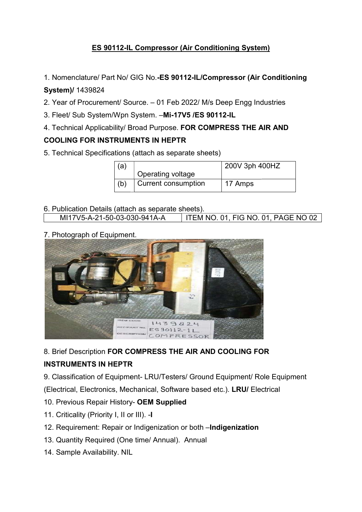## **ES 90112-IL Compressor (Air Conditioning System)**

1. Nomenclature/ Part No/ GIG No.-ES 90112-IL/Compressor (Air Conditioning

## System)/ 1439824

- 2. Year of Procurement/ Source. 01 Feb 2022/ M/s Deep Engg Industries
- 3. Fleet/ Sub System/Wpn System. . Fleet/ Sub System. –Mi-17V5 /ES 90112-IL
- 4. Technical Applicability/ Broad Purpose. FOR COMPRESS THE AIR AND

## COOLING FOR INSTRUMENTS IN HEPTR

| 5. Technical Specifications (attach as separate sheets) |     |                            |                |
|---------------------------------------------------------|-----|----------------------------|----------------|
|                                                         | (a) |                            | 200V 3ph 400HZ |
|                                                         |     | Operating voltage          |                |
|                                                         | (b) | <b>Current consumption</b> | 17 Amps        |

- 6. Publication Details (attach as separate sheets).<br>| MI17V5-A-21-50-03-030-941A-A | ITEM NO. 01, FIG NO. 01, PAGE NO 02 MI17V5-A-21-50-03-030
- 7. Photograph of Equipment. . Photograph



8. Brief Description FOR COMPRESS THE AIR AND COOLING FOR<br>INSTRUMENTS IN HEPTR

## INSTRUMENTS IN HEPTR

9. Classification of Equipment- LRU/Testers/ Ground Equipment/ Role Equipment

(Electrical, Electronics, Mechanical, Software based etc.). LRU/ Electrical

- 10. Previous Repair History- OEM Supplied
- 11. Criticality (Priority I, II or III). -I
- 12. Requirement: Repair or Indigenization or both -Indigenization
- 13. Quantity Required (One time/ Annual). Annual
- 14. Sample Availability. NIL